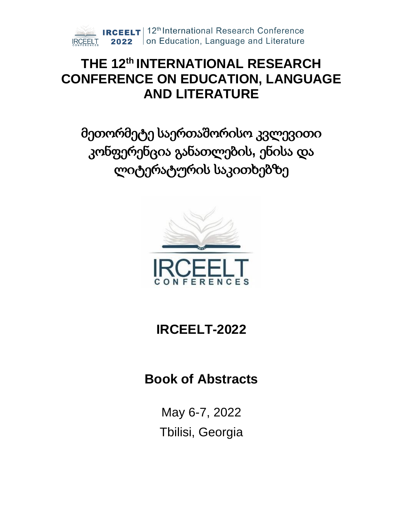

# **THE 12 th INTERNATIONAL RESEARCH CONFERENCE ON EDUCATION, LANGUAGE AND LITERATURE**

მეთორმეტე საერთაშორისო კვლევითი კონფერენცია განათლების**,** ენისა და ლიტერატურის საკითხებზე



# **IRCEELT-2022**

# **Book of Abstracts**

May 6-7, 2022 Tbilisi, Georgia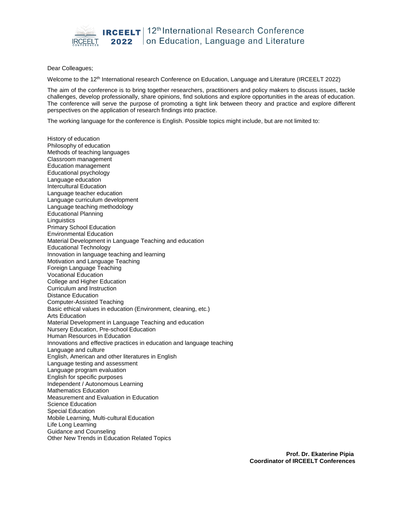

#### Dear Colleagues;

Welcome to the 12<sup>th</sup> International research Conference on Education, Language and Literature (IRCEELT 2022)

The aim of the conference is to bring together researchers, practitioners and policy makers to discuss issues, tackle challenges, develop professionally, share opinions, find solutions and explore opportunities in the areas of education. The conference will serve the purpose of promoting a tight link between theory and practice and explore different perspectives on the application of research findings into practice.

The working language for the conference is English. Possible topics might include, but are not limited to:

History of education Philosophy of education Methods of teaching languages Classroom management Education management Educational psychology Language education Intercultural Education Language teacher education Language curriculum development Language teaching methodology Educational Planning **Linguistics** Primary School Education Environmental Education Material Development in Language Teaching and education Educational Technology Innovation in language teaching and learning Motivation and Language Teaching Foreign Language Teaching Vocational Education College and Higher Education Curriculum and Instruction Distance Education Computer-Assisted Teaching Basic ethical values in education (Environment, cleaning, etc.) Arts Education Material Development in Language Teaching and education Nursery Education, Pre-school Education Human Resources in Education Innovations and effective practices in education and language teaching Language and culture English, American and other literatures in English Language testing and assessment Language program evaluation English for specific purposes Independent / Autonomous Learning Mathematics Education Measurement and Evaluation in Education Science Education Special Education Mobile Learning, Multi-cultural Education Life Long Learning Guidance and Counseling Other New Trends in Education Related Topics

> **Prof. Dr. Ekaterine Pipia Coordinator of IRCEELT Conferences**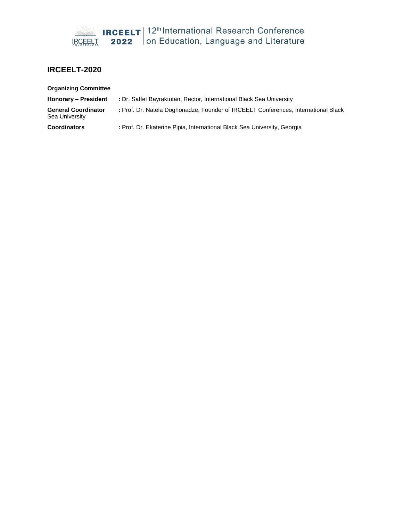

## **IRCEELT-2020**

| <b>Organizing Committee</b>                  |                                                                                    |
|----------------------------------------------|------------------------------------------------------------------------------------|
| Honorary - President                         | : Dr. Saffet Bayraktutan, Rector, International Black Sea University               |
| <b>General Coordinator</b><br>Sea University | : Prof. Dr. Natela Doghonadze, Founder of IRCEELT Conferences, International Black |
| <b>Coordinators</b>                          | : Prof. Dr. Ekaterine Pipia, International Black Sea University, Georgia           |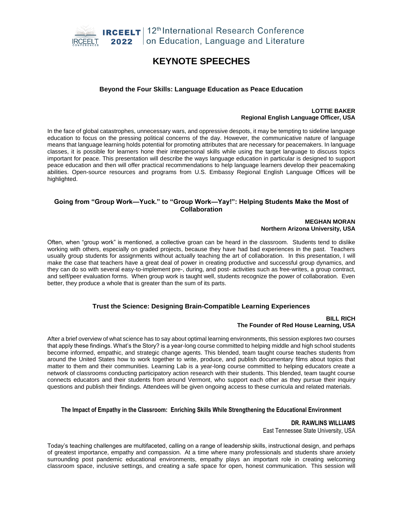

## **KEYNOTE SPEECHES**

#### **Beyond the Four Skills: Language Education as Peace Education**

#### **LOTTIE BAKER Regional English Language Officer, USA**

In the face of global catastrophes, unnecessary wars, and oppressive despots, it may be tempting to sideline language education to focus on the pressing political concerns of the day. However, the communicative nature of language means that language learning holds potential for promoting attributes that are necessary for peacemakers. In language classes, it is possible for learners hone their interpersonal skills while using the target language to discuss topics important for peace. This presentation will describe the ways language education in particular is designed to support peace education and then will offer practical recommendations to help language learners develop their peacemaking abilities. Open-source resources and programs from U.S. Embassy Regional English Language Offices will be highlighted.

#### **Going from "Group Work—Yuck." to "Group Work—Yay!": Helping Students Make the Most of Collaboration**

**MEGHAN MORAN Northern Arizona University, USA** 

Often, when "group work" is mentioned, a collective groan can be heard in the classroom. Students tend to dislike working with others, especially on graded projects, because they have had bad experiences in the past. Teachers usually group students for assignments without actually teaching the art of collaboration. In this presentation, I will make the case that teachers have a great deal of power in creating productive and successful group dynamics, and they can do so with several easy-to-implement pre-, during, and post- activities such as free-writes, a group contract, and self/peer evaluation forms. When group work is taught well, students recognize the power of collaboration. Even better, they produce a whole that is greater than the sum of its parts.

## **Trust the Science: Designing Brain-Compatible Learning Experiences**

#### **BILL RICH The Founder of Red House Learning, USA**

After a brief overview of what science has to say about optimal learning environments, this session explores two courses that apply these findings. What's the Story? is a year-long course committed to helping middle and high school students become informed, empathic, and strategic change agents. This blended, team taught course teaches students from around the United States how to work together to write, produce, and publish documentary films about topics that matter to them and their communities. Learning Lab is a year-long course committed to helping educators create a network of classrooms conducting participatory action research with their students. This blended, team taught course connects educators and their students from around Vermont, who support each other as they pursue their inquiry questions and publish their findings. Attendees will be given ongoing access to these curricula and related materials.

#### **The Impact of Empathy in the Classroom: Enriching Skills While Strengthening the Educational Environment**

**DR. RAWLINS WILLIAMS**

East Tennessee State University, USA

Today's teaching challenges are multifaceted, calling on a range of leadership skills, instructional design, and perhaps of greatest importance, empathy and compassion. At a time where many professionals and students share anxiety surrounding post pandemic educational environments, empathy plays an important role in creating welcoming classroom space, inclusive settings, and creating a safe space for open, honest communication. This session will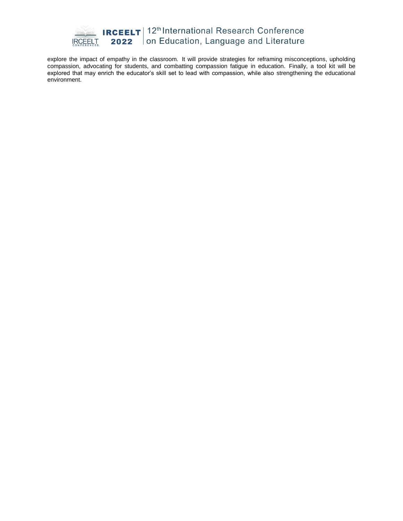

explore the impact of empathy in the classroom. It will provide strategies for reframing misconceptions, upholding compassion, advocating for students, and combatting compassion fatigue in education. Finally, a tool kit will be explored that may enrich the educator's skill set to lead with compassion, while also strengthening the educational environment.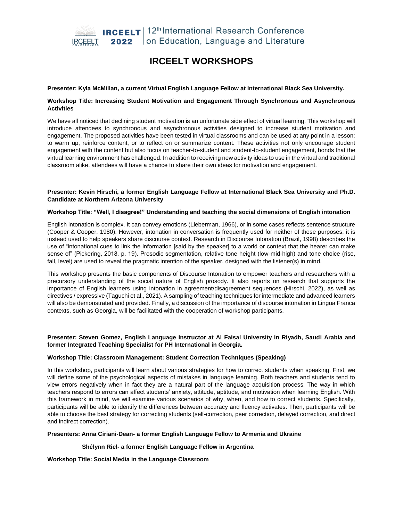

# **IRCEELT WORKSHOPS**

#### **Presenter: Kyla McMillan, a current Virtual English Language Fellow at International Black Sea University.**

#### **Workshop Title: Increasing Student Motivation and Engagement Through Synchronous and Asynchronous Activities**

We have all noticed that declining student motivation is an unfortunate side effect of virtual learning. This workshop will introduce attendees to synchronous and asynchronous activities designed to increase student motivation and engagement. The proposed activities have been tested in virtual classrooms and can be used at any point in a lesson: to warm up, reinforce content, or to reflect on or summarize content. These activities not only encourage student engagement with the content but also focus on teacher-to-student and student-to-student engagement, bonds that the virtual learning environment has challenged. In addition to receiving new activity ideas to use in the virtual and traditional classroom alike, attendees will have a chance to share their own ideas for motivation and engagement.

#### **Presenter: Kevin Hirschi, a former English Language Fellow at International Black Sea University and Ph.D. Candidate at Northern Arizona University**

#### **Workshop Title: "Well, I disagree!" Understanding and teaching the social dimensions of English intonation**

English intonation is complex. It can convey emotions (Lieberman, 1966), or in some cases reflects sentence structure (Cooper & Cooper, 1980). However, intonation in conversation is frequently used for neither of these purposes; it is instead used to help speakers share discourse context. Research in Discourse Intonation (Brazil, 1998) describes the use of "intonational cues to link the information [said by the speaker] to a world or context that the hearer can make sense of" (Pickering, 2018, p. 19). Prosodic segmentation, relative tone height (low-mid-high) and tone choice (rise, fall, level) are used to reveal the pragmatic intention of the speaker, designed with the listener(s) in mind.

This workshop presents the basic components of Discourse Intonation to empower teachers and researchers with a precursory understanding of the social nature of English prosody. It also reports on research that supports the importance of English learners using intonation in agreement/disagreement sequences (Hirschi, 2022), as well as directives / expressive (Taguchi et al., 2021). A sampling of teaching techniques for intermediate and advanced learners will also be demonstrated and provided. Finally, a discussion of the importance of discourse intonation in Lingua Franca contexts, such as Georgia, will be facilitated with the cooperation of workshop participants.

#### **Presenter: Steven Gomez, English Language Instructor at Al Faisal University in Riyadh, Saudi Arabia and former Integrated Teaching Specialist for PH International in Georgia.**

#### **Workshop Title: Classroom Management: Student Correction Techniques (Speaking)**

In this workshop, participants will learn about various strategies for how to correct students when speaking. First, we will define some of the psychological aspects of mistakes in language learning. Both teachers and students tend to view errors negatively when in fact they are a natural part of the language acquisition process. The way in which teachers respond to errors can affect students' anxiety, attitude, aptitude, and motivation when learning English. With this framework in mind, we will examine various scenarios of why, when, and how to correct students. Specifically, participants will be able to identify the differences between accuracy and fluency activates. Then, participants will be able to choose the best strategy for correcting students (self-correction, peer correction, delayed correction, and direct and indirect correction).

#### **Presenters: Anna Ciriani-Dean- a former English Language Fellow to Armenia and Ukraine**

#### **Shélynn Riel- a former English Language Fellow in Argentina**

**Workshop Title: Social Media in the Language Classroom**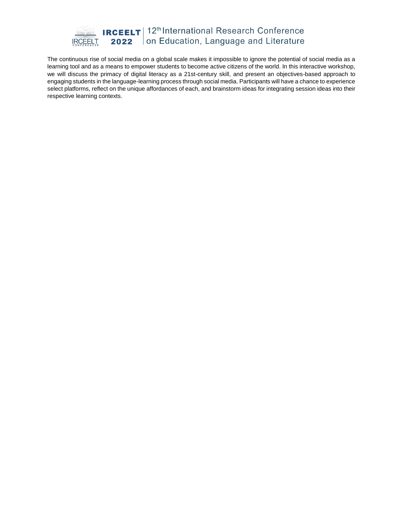

The continuous rise of social media on a global scale makes it impossible to ignore the potential of social media as a learning tool and as a means to empower students to become active citizens of the world. In this interactive workshop, we will discuss the primacy of digital literacy as a 21st-century skill, and present an objectives-based approach to engaging students in the language-learning process through social media. Participants will have a chance to experience select platforms, reflect on the unique affordances of each, and brainstorm ideas for integrating session ideas into their respective learning contexts.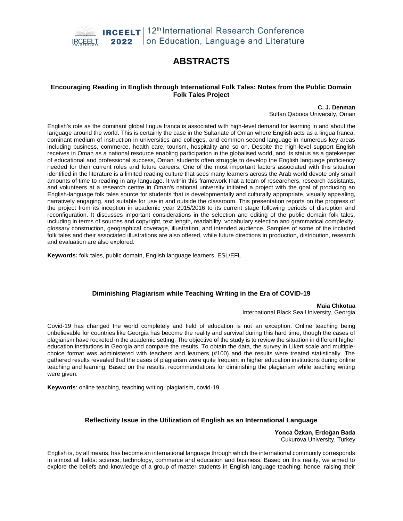

## **ABSTRACTS**

#### **Encouraging Reading in English through International Folk Tales: Notes from the Public Domain Folk Tales Project**

**C. J. Denman** Sultan Qaboos University, Oman

English's role as the dominant global lingua franca is associated with high-level demand for learning in and about the language around the world. This is certainly the case in the Sultanate of Oman where English acts as a lingua franca, dominant medium of instruction in universities and colleges, and common second language in numerous key areas including business, commerce, health care, tourism, hospitality and so on. Despite the high-level support English receives in Oman as a national resource enabling participation in the globalised world, and its status as a gatekeeper of educational and professional success, Omani students often struggle to develop the English language proficiency needed for their current roles and future careers. One of the most important factors associated with this situation identified in the literature is a limited reading culture that sees many learners across the Arab world devote only small amounts of time to reading in any language. It within this framework that a team of researchers, research assistants, and volunteers at a research centre in Oman's national university initiated a project with the goal of producing an English-language folk tales source for students that is developmentally and culturally appropriate, visually appealing, narratively engaging, and suitable for use in and outside the classroom. This presentation reports on the progress of the project from its inception in academic year 2015/2016 to its current stage following periods of disruption and reconfiguration. It discusses important considerations in the selection and editing of the public domain folk tales, including in terms of sources and copyright, text length, readability, vocabulary selection and grammatical complexity, glossary construction, geographical coverage, illustration, and intended audience. Samples of some of the included folk tales and their associated illustrations are also offered, while future directions in production, distribution, research and evaluation are also explored.

**Keywords:** folk tales, public domain, English language learners, ESL/EFL

## **Diminishing Plagiarism while Teaching Writing in the Era of COVID-19**

**Maia Chkotua** International Black Sea University, Georgia

Covid-19 has changed the world completely and field of education is not an exception. Online teaching being unbelievable for countries like Georgia has become the reality and survival during this hard time, though the cases of plagiarism have rocketed in the academic setting. The objective of the study is to review the situation in different higher education institutions in Georgia and compare the results. To obtain the data, the survey in Likert scale and multiplechoice format was administered with teachers and learners (#100) and the results were treated statistically. The gathered results revealed that the cases of plagiarism were quite frequent in higher education institutions during online teaching and learning. Based on the results, recommendations for diminishing the plagiarism while teaching writing were given.

**Keywords**: online teaching, teaching writing, plagiarism, covid-19

## **Reflectivity Issue in the Utilization of English as an International Language**

**Yonca Özkan, Erdoğan Bada** Cukurova University, Turkey

English is, by all means, has become an international language through which the international community corresponds in almost all fields: science, technology, commerce and education and business. Based on this reality, we aimed to explore the beliefs and knowledge of a group of master students in English language teaching; hence, raising their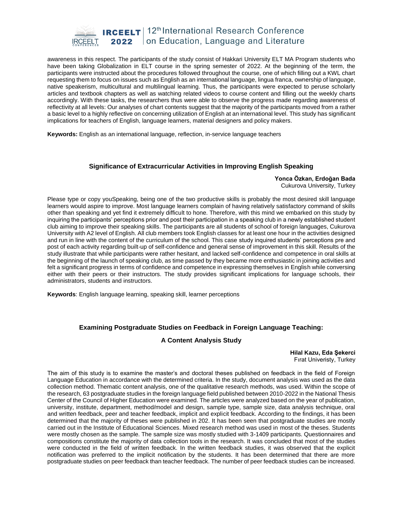

awareness in this respect. The participants of the study consist of Hakkari University ELT MA Program students who have been taking Globalization in ELT course in the spring semester of 2022. At the beginning of the term, the participants were instructed about the procedures followed throughout the course, one of which filling out a KWL chart requesting them to focus on issues such as English as an international language, lingua franca, ownership of language, native speakerism, multicultural and multilingual learning. Thus, the participants were expected to peruse scholarly articles and textbook chapters as well as watching related videos to course content and filling out the weekly charts accordingly. With these tasks, the researchers thus were able to observe the progress made regarding awareness of reflectivity at all levels: Our analyses of chart contents suggest that the majority of the participants moved from a rather a basic level to a highly reflective on concerning utilization of English at an international level. This study has significant implications for teachers of English, language learners, material designers and policy makers.

**Keywords:** English as an international language, reflection, in-service language teachers

#### **Significance of Extracurricular Activities in Improving English Speaking**

**Yonca Özkan, Erdoğan Bada** Cukurova University, Turkey

Please type or copy youSpeaking, being one of the two productive skills is probably the most desired skill language learners would aspire to improve. Most language learners complain of having relatively satisfactory command of skills other than speaking and yet find it extremely difficult to hone. Therefore, with this mind we embarked on this study by inquiring the participants' perceptions prior and post their participation in a speaking club in a newly established student club aiming to improve their speaking skills. The participants are all students of school of foreign languages, Cukurova University with A2 level of English. All club members took English classes for at least one hour in the activities designed and run in line with the content of the curriculum of the school. This case study inquired students' perceptions pre and post of each activity regarding built-up of self-confidence and general sense of improvement in this skill. Results of the study illustrate that while participants were rather hesitant, and lacked self-confidence and competence in oral skills at the beginning of the launch of speaking club, as time passed by they became more enthusiastic in joining activities and felt a significant progress in terms of confidence and competence in expressing themselves in English while conversing either with their peers or their instructors. The study provides significant implications for language schools, their administrators, students and instructors.

**Keywords**: English language learning, speaking skill, learner perceptions

## **Examining Postgraduate Studies on Feedback in Foreign Language Teaching:**

## **A Content Analysis Study**

**Hilal Kazu, Eda Şekerci** Fırat Univeristy, Turkey

The aim of this study is to examine the master's and doctoral theses published on feedback in the field of Foreign Language Education in accordance with the determined criteria. In the study, document analysis was used as the data collection method. Thematic content analysis, one of the qualitative research methods, was used. Within the scope of the research, 63 postgraduate studies in the foreign language field published between 2010-2022 in the National Thesis Center of the Council of Higher Education were examined. The articles were analyzed based on the year of publication, university, institute, department, method/model and design, sample type, sample size, data analysis technique, oral and written feedback, peer and teacher feedback, implicit and explicit feedback. According to the findings, it has been determined that the majority of theses were published in 202. It has been seen that postgraduate studies are mostly carried out in the Institute of Educational Sciences. Mixed research method was used in most of the theses. Students were mostly chosen as the sample. The sample size was mostly studied with 3-1409 participants. Questionnaires and compositions constitute the majority of data collection tools in the research. It was concluded that most of the studies were conducted in the field of written feedback. In the written feedback studies, it was observed that the explicit notification was preferred to the implicit notification by the students. It has been determined that there are more postgraduate studies on peer feedback than teacher feedback. The number of peer feedback studies can be increased.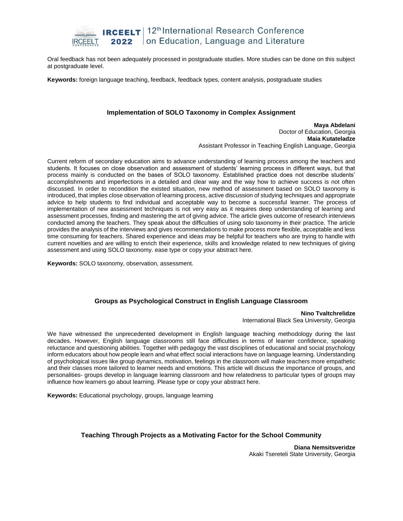

Oral feedback has not been adequately processed in postgraduate studies. More studies can be done on this subject at postgraduate level.

**Keywords:** foreign language teaching, feedback, feedback types, content analysis, postgraduate studies

#### **Implementation of SOLO Taxonomy in Complex Assignment**

**Maya Abdelani** Doctor of Education, Georgia **Maia Kutateladze** Assistant Professor in Teaching English Language, Georgia

Current reform of secondary education aims to advance understanding of learning process among the teachers and students. It focuses on close observation and assessment of students' learning process in different ways, but that process mainly is conducted on the bases of SOLO taxonomy. Established practice does not describe students' accomplishments and imperfections in a detailed and clear way and the way how to achieve success is not often discussed. In order to recondition the existed situation, new method of assessment based on SOLO taxonomy is introduced, that implies close observation of learning process, active discussion of studying techniques and appropriate advice to help students to find individual and acceptable way to become a successful learner. The process of implementation of new assessment techniques is not very easy as it requires deep understanding of learning and assessment processes, finding and mastering the art of giving advice. The article gives outcome of research interviews conducted among the teachers. They speak about the difficulties of using solo taxonomy in their practice. The article provides the analysis of the interviews and gives recommendations to make process more flexible, acceptable and less time consuming for teachers. Shared experience and ideas may be helpful for teachers who are trying to handle with current novelties and are willing to enrich their experience, skills and knowledge related to new techniques of giving assessment and using SOLO taxonomy. ease type or copy your abstract here.

**Keywords:** SOLO taxonomy, observation, assessment.

## **Groups as Psychological Construct in English Language Classroom**

**Nino Tvaltchrelidze** International Black Sea University, Georgia

We have witnessed the unprecedented development in English language teaching methodology during the last decades. However, English language classrooms still face difficulties in terms of learner confidence, speaking reluctance and questioning abilities. Together with pedagogy the vast disciplines of educational and social psychology inform educators about how people learn and what effect social interactions have on language learning. Understanding of psychological issues like group dynamics, motivation, feelings in the classroom will make teachers more empathetic and their classes more tailored to learner needs and emotions. This article will discuss the importance of groups, and personalities- groups develop in language learning classroom and how relatedness to particular types of groups may influence how learners go about learning. Please type or copy your abstract here.

**Keywords:** Educational psychology, groups, language learning

#### **Teaching Through Projects as a Motivating Factor for the School Community**

**Diana Nemsitsveridze** Akaki Tsereteli State University, Georgia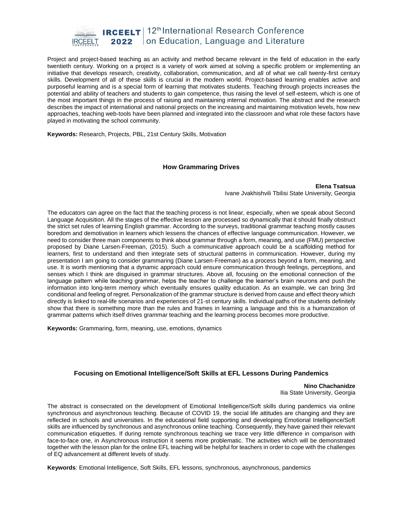

Project and project-based teaching as an activity and method became relevant in the field of education in the early twentieth century. Working on a project is a variety of work aimed at solving a specific problem or implementing an initiative that develops research, creativity, collaboration, communication, and all of what we call twenty-first century skills. Development of all of these skills is crucial in the modern world. Project-based learning enables active and purposeful learning and is a special form of learning that motivates students. Teaching through projects increases the potential and ability of teachers and students to gain competence, thus raising the level of self-esteem, which is one of the most important things in the process of raising and maintaining internal motivation. The abstract and the research describes the impact of international and national projects on the increasing and maintaining motivation levels, how new approaches, teaching web-tools have been planned and integrated into the classroom and what role these factors have played in motivating the school community.

**Keywords:** Research, Projects, PBL, 21st Century Skills, Motivation

#### **How Grammaring Drives**

**Elena Tsatsua** Ivane Jvakhishvili Tbilisi State University, Georgia

The educators can agree on the fact that the teaching process is not linear, especially, when we speak about Second Language Acquisition. All the stages of the effective lesson are processed so dynamically that it should finally obstruct the strict set rules of learning English grammar. According to the surveys, traditional grammar teaching mostly causes boredom and demotivation in learners which lessens the chances of effective language communication. However, we need to consider three main components to think about grammar through a form, meaning, and use (FMU) perspective proposed by Diane Larsen-Freeman, (2015). Such a communicative approach could be a scaffolding method for learners, first to understand and then integrate sets of structural patterns in communication. However, during my presentation I am going to consider grammaring (Diane Larsen-Freeman) as a process beyond a form, meaning, and use. It is worth mentioning that a dynamic approach could ensure communication through feelings, perceptions, and senses which I think are disguised in grammar structures. Above all, focusing on the emotional connection of the language pattern while teaching grammar, helps the teacher to challenge the learner's brain neurons and push the information into long-term memory which eventually ensures quality education. As an example, we can bring 3rd conditional and feeling of regret. Personalization of the grammar structure is derived from cause and effect theory which directly is linked to real-life scenarios and experiences of 21-st century skills. Individual paths of the students definitely show that there is something more than the rules and frames in learning a language and this is a humanization of grammar patterns which itself drives grammar teaching and the learning process becomes more productive.

**Keywords:** Grammaring, form, meaning, use, emotions, dynamics

## **Focusing on Emotional Intelligence/Soft Skills at EFL Lessons During Pandemics**

**Nino Chachanidze** Ilia State University, Georgia

The abstract is consecrated on the development of Emotional Intelligence/Soft skills during pandemics via online synchronous and asynchronous teaching. Because of COVID 19, the social life attitudes are changing and they are reflected in schools and universities. In the educational field supporting and developing Emotional Intelligence/Soft skills are influenced by synchronous and asynchronous online teaching. Consequently, they have gained their relevant communication etiquettes. If during remote synchronous teaching we trace very little difference in comparison with face-to-face one, in Asynchronous instruction it seems more problematic. The activities which will be demonstrated together with the lesson plan for the online EFL teaching will be helpful for teachers in order to cope with the challenges of EQ advancement at different levels of study.

**Keywords**: Emotional Intelligence, Soft Skills, EFL lessons, synchronous, asynchronous, pandemics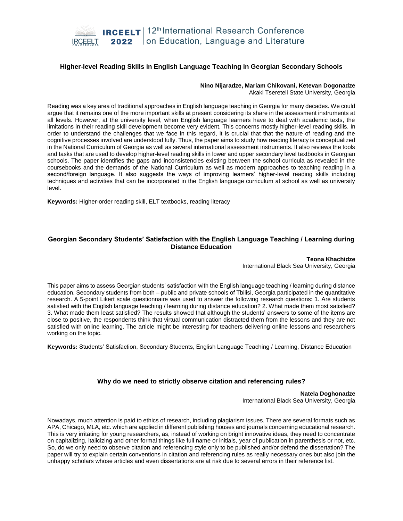

#### **Higher-level Reading Skills in English Language Teaching in Georgian Secondary Schools**

**Nino Nijaradze, Mariam Chikovani, Ketevan Dogonadze**

Akaki Tsereteli State University, Georgia

Reading was a key area of traditional approaches in English language teaching in Georgia for many decades. We could argue that it remains one of the more important skills at present considering its share in the assessment instruments at all levels. However, at the university level, when English language learners have to deal with academic texts, the limitations in their reading skill development become very evident. This concerns mostly higher-level reading skills. In order to understand the challenges that we face in this regard, it is crucial that that the nature of reading and the cognitive processes involved are understood fully. Thus, the paper aims to study how reading literacy is conceptualized in the National Curriculum of Georgia as well as several international assessment instruments. It also reviews the tools and tasks that are used to develop higher-level reading skills in lower and upper secondary level textbooks in Georgian schools. The paper identifies the gaps and inconsistencies existing between the school curricula as revealed in the coursebooks and the demands of the National Curriculum as well as modern approaches to teaching reading in a second/foreign language. It also suggests the ways of improving learners' higher-level reading skills including techniques and activities that can be incorporated in the English language curriculum at school as well as university level.

**Keywords:** Higher-order reading skill, ELT textbooks, reading literacy

#### **Georgian Secondary Students' Satisfaction with the English Language Teaching / Learning during Distance Education**

**Teona Khachidze** International Black Sea University, Georgia

This paper aims to assess Georgian students' satisfaction with the English language teaching / learning during distance education. Secondary students from both – public and private schools of Tbilisi, Georgia participated in the quantitative research. A 5-point Likert scale questionnaire was used to answer the following research questions: 1. Are students satisfied with the English language teaching / learning during distance education? 2. What made them most satisfied? 3. What made them least satisfied? The results showed that although the students' answers to some of the items are close to positive, the respondents think that virtual communication distracted them from the lessons and they are not satisfied with online learning. The article might be interesting for teachers delivering online lessons and researchers working on the topic.

**Keywords:** Students' Satisfaction, Secondary Students, English Language Teaching / Learning, Distance Education

## **Why do we need to strictly observe citation and referencing rules?**

**Natela Doghonadze** International Black Sea University, Georgia

Nowadays, much attention is paid to ethics of research, including plagiarism issues. There are several formats such as APA, Chicago, MLA, etc. which are applied in different publishing houses and journals concerning educational research. This is very irritating for young researchers, as, instead of working on bright innovative ideas, they need to concentrate on capitalizing, italicizing and other formal things like full name or initials, year of publication in parenthesis or not, etc. So, do we only need to observe citation and referencing style only to be published and/or defend the dissertation? The paper will try to explain certain conventions in citation and referencing rules as really necessary ones but also join the unhappy scholars whose articles and even dissertations are at risk due to several errors in their reference list.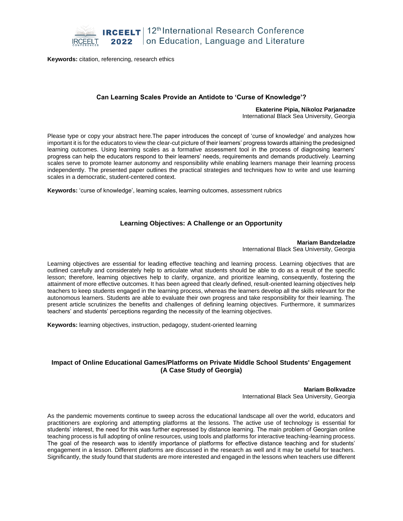

**Keywords:** citation, referencing, research ethics

## **Can Learning Scales Provide an Antidote to 'Curse of Knowledge'?**

#### **Ekaterine Pipia, Nikoloz Parjanadze**

International Black Sea University, Georgia

Please type or copy your abstract here.The paper introduces the concept of 'curse of knowledge' and analyzes how important it is for the educators to view the clear-cut picture of their learners' progress towards attaining the predesigned learning outcomes. Using learning scales as a formative assessment tool in the process of diagnosing learners' progress can help the educators respond to their learners' needs, requirements and demands productively. Learning scales serve to promote learner autonomy and responsibility while enabling learners manage their learning process independently. The presented paper outlines the practical strategies and techniques how to write and use learning scales in a democratic, student-centered context.

**Keywords:** 'curse of knowledge', learning scales, learning outcomes, assessment rubrics

#### **Learning Objectives: A Challenge or an Opportunity**

**Mariam Bandzeladze** International Black Sea University, Georgia

Learning objectives are essential for leading effective teaching and learning process. Learning objectives that are outlined carefully and considerately help to articulate what students should be able to do as a result of the specific lesson; therefore, learning objectives help to clarify, organize, and prioritize learning, consequently, fostering the attainment of more effective outcomes. It has been agreed that clearly defined, result-oriented learning objectives help teachers to keep students engaged in the learning process, whereas the learners develop all the skills relevant for the autonomous learners. Students are able to evaluate their own progress and take responsibility for their learning. The present article scrutinizes the benefits and challenges of defining learning objectives. Furthermore, it summarizes teachers' and students' perceptions regarding the necessity of the learning objectives.

**Keywords:** learning objectives, instruction, pedagogy, student-oriented learning

## **Impact of Online Educational Games/Platforms on Private Middle School Students' Engagement (A Case Study of Georgia)**

**Mariam Bolkvadze** International Black Sea University, Georgia

As the pandemic movements continue to sweep across the educational landscape all over the world, educators and practitioners are exploring and attempting platforms at the lessons. The active use of technology is essential for students' interest, the need for this was further expressed by distance learning. The main problem of Georgian online teaching process is full adopting of online resources, using tools and platforms for interactive teaching-learning process. The goal of the research was to identify importance of platforms for effective distance teaching and for students' engagement in a lesson. Different platforms are discussed in the research as well and it may be useful for teachers. Significantly, the study found that students are more interested and engaged in the lessons when teachers use different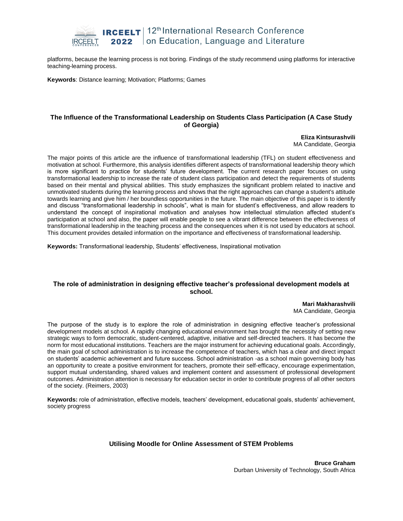

platforms, because the learning process is not boring. Findings of the study recommend using platforms for interactive teaching-learning process.

**Keywords**: Distance learning; Motivation; Platforms; Games

#### **The Influence of the Transformational Leadership on Students Class Participation (A Case Study of Georgia)**

**Eliza Kintsurashvili** MA Candidate, Georgia

The major points of this article are the influence of transformational leadership (TFL) on student effectiveness and motivation at school. Furthermore, this analysis identifies different aspects of transformational leadership theory which is more significant to practice for students' future development. The current research paper focuses on using transformational leadership to increase the rate of student class participation and detect the requirements of students based on their mental and physical abilities. This study emphasizes the significant problem related to inactive and unmotivated students during the learning process and shows that the right approaches can change a student's attitude towards learning and give him / her boundless opportunities in the future. The main objective of this paper is to identify and discuss "transformational leadership in schools", what is main for student's effectiveness, and allow readers to understand the concept of inspirational motivation and analyses how intellectual stimulation affected student's participation at school and also, the paper will enable people to see a vibrant difference between the effectiveness of transformational leadership in the teaching process and the consequences when it is not used by educators at school. This document provides detailed information on the importance and effectiveness of transformational leadership.

**Keywords:** Transformational leadership, Students' effectiveness, Inspirational motivation

#### **The role of administration in designing effective teacher's professional development models at school.**

**Mari Makharashvili** MA Candidate, Georgia

The purpose of the study is to explore the role of administration in designing effective teacher's professional development models at school. A rapidly changing educational environment has brought the necessity of setting new strategic ways to form democratic, student-centered, adaptive, initiative and self-directed teachers. It has become the norm for most educational institutions. Teachers are the major instrument for achieving educational goals. Accordingly, the main goal of school administration is to increase the competence of teachers, which has a clear and direct impact on students' academic achievement and future success. School administration -as a school main governing body has an opportunity to create a positive environment for teachers, promote their self-efficacy, encourage experimentation, support mutual understanding, shared values and implement content and assessment of professional development outcomes. Administration attention is necessary for education sector in order to contribute progress of all other sectors of the society. (Reimers, 2003)

**Keywords:** role of administration, effective models, teachers' development, educational goals, students' achievement, society progress

#### **Utilising Moodle for Online Assessment of STEM Problems**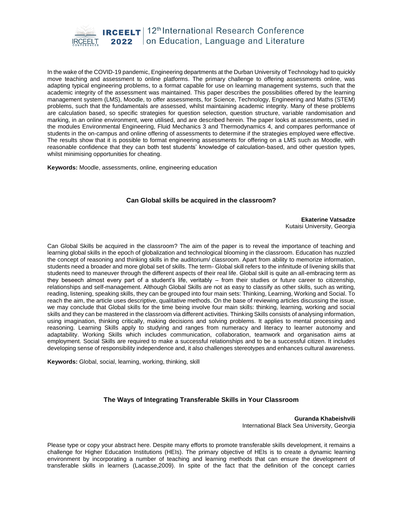

In the wake of the COVID-19 pandemic, Engineering departments at the Durban University of Technology had to quickly move teaching and assessment to online platforms. The primary challenge to offering assessments online, was adapting typical engineering problems, to a format capable for use on learning management systems, such that the academic integrity of the assessment was maintained. This paper describes the possibilities offered by the learning management system (LMS), Moodle, to offer assessments, for Science, Technology, Engineering and Maths (STEM) problems, such that the fundamentals are assessed, whilst maintaining academic integrity. Many of these problems are calculation based, so specific strategies for question selection, question structure, variable randomisation and marking, in an online environment, were utilised, and are described herein. The paper looks at assessments, used in the modules Environmental Engineering, Fluid Mechanics 3 and Thermodynamics 4, and compares performance of students in the on-campus and online offering of assessments to determine if the strategies employed were effective. The results show that it is possible to format engineering assessments for offering on a LMS such as Moodle, with reasonable confidence that they can both test students' knowledge of calculation-based, and other question types, whilst minimising opportunities for cheating.

**Keywords:** Moodle, assessments, online, engineering education

## **Can Global skills be acquired in the classroom?**

**Ekaterine Vatsadze**  Kutaisi University, Georgia

Can Global Skills be acquired in the classroom? The aim of the paper is to reveal the importance of teaching and learning global skills in the epoch of globalization and technological blooming in the classroom. Education has nuzzled the concept of reasoning and thinking skills in the auditorium/ classroom. Apart from ability to memorize information, students need a broader and more global set of skills. The term- Global skill refers to the infinitude of livening skills that students need to maneuver through the different aspects of their real life. Global skill is quite an all-embracing term as they beseech almost every part of a student's life, veritably – from their studies or future career to citizenship, relationships and self-management. Although Global Skills are not as easy to classify as other skills, such as writing, reading, listening, speaking skills, they can be grouped into four main sets: Thinking, Learning, Working and Social. To reach the aim, the article uses descriptive, qualitative methods. On the base of reviewing articles discussing the issue, we may conclude that Global skills for the time being involve four main skills: thinking, learning, working and social skills and they can be mastered in the classroom via different activities. Thinking Skills consists of analysing information, using imagination, thinking critically, making decisions and solving problems. It applies to mental processing and reasoning. Learning Skills apply to studying and ranges from numeracy and literacy to learner autonomy and adaptability. Working Skills which includes communication, collaboration, teamwork and organisation aims at employment. Social Skills are required to make a successful relationships and to be a successful citizen. It includes developing sense of responsibility independence and, it also challenges stereotypes and enhances cultural awareness.

**Keywords:** Global, social, learning, working, thinking, skill

## **The Ways of Integrating Transferable Skills in Your Classroom**

**Guranda Khabeishvili** International Black Sea University, Georgia

Please type or copy your abstract here. Despite many efforts to promote transferable skills development, it remains a challenge for Higher Education Institutions (HEIs). The primary objective of HEIs is to create a dynamic learning environment by incorporating a number of teaching and learning methods that can ensure the development of transferable skills in learners (Lacasse,2009). In spite of the fact that the definition of the concept carries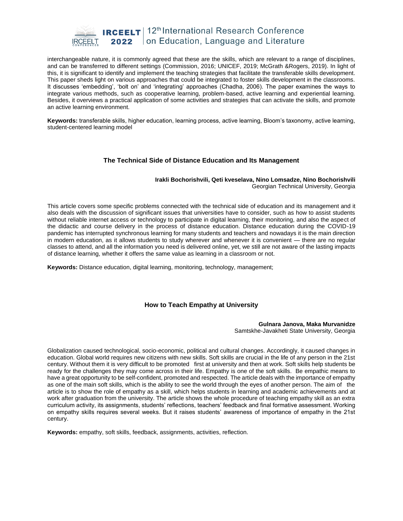

interchangeable nature, it is commonly agreed that these are the skills, which are relevant to a range of disciplines, and can be transferred to different settings (Commission, 2016; UNICEF, 2019; McGrath &Rogers, 2019). In light of this, it is significant to identify and implement the teaching strategies that facilitate the transferable skills development. This paper sheds light on various approaches that could be integrated to foster skills development in the classrooms. It discusses 'embedding', 'bolt on' and 'integrating' approaches (Chadha, 2006). The paper examines the ways to integrate various methods, such as cooperative learning, problem-based, active learning and experiential learning. Besides, it overviews a practical application of some activities and strategies that can activate the skills, and promote an active learning environment.

**Keywords:** transferable skills, higher education, learning process, active learning, Bloom's taxonomy, active learning, student-centered learning model

#### **The Technical Side of Distance Education and Its Management**

#### **Irakli Bochorishvili, Qeti kveselava, Nino Lomsadze, Nino Bochorishvili** Georgian Technical University, Georgia

This article covers some specific problems connected with the technical side of education and its management and it also deals with the discussion of significant issues that universities have to consider, such as how to assist students without reliable internet access or technology to participate in digital learning, their monitoring, and also the aspect of the didactic and course delivery in the process of distance education. Distance education during the COVID-19 pandemic has interrupted synchronous learning for many students and teachers and nowadays it is the main direction in modern education, as it allows students to study wherever and whenever it is convenient — there are no regular classes to attend, and all the information you need is delivered online, yet, we still are not aware of the lasting impacts of distance learning, whether it offers the same value as learning in a classroom or not.

**Keywords:** Distance education, digital learning, monitoring, technology, management;

## **How to Teach Empathy at University**

#### **Gulnara Janova, Maka Murvanidze** Samtskhe-Javakheti State University, Georgia

Globalization caused technological, socio-economic, political and cultural changes. Accordingly, it caused changes in education. Global world requires new citizens with new skills. Soft skills are crucial in the life of any person in the 21st century. Without them it is very difficult to be promoted first at university and then at work. Soft skills help students be ready for the challenges they may come across in their life. Empathy is one of the soft skills. Be empathic means to have a great opportunity to be self-confident, promoted and respected. The article deals with the importance of empathy as one of the main soft skills, which is the ability to see the world through the eyes of another person. The aim of the article is to show the role of empathy as a skill, which helps students in learning and academic achievements and at work after graduation from the university. The article shows the whole procedure of teaching empathy skill as an extra curriculum activity, its assignments, students' reflections, teachers' feedback and final formative assessment. Working on empathy skills requires several weeks. But it raises students' awareness of importance of empathy in the 21st century.

**Keywords:** empathy, soft skills, feedback, assignments, activities, reflection.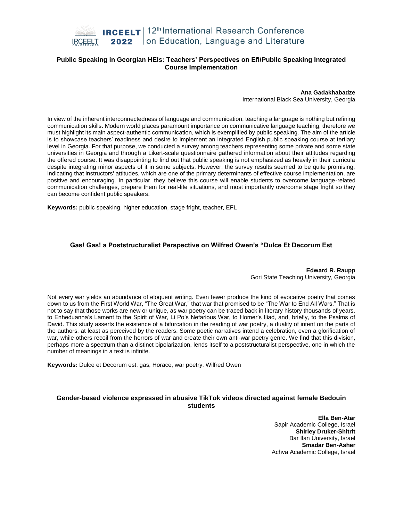

## **Public Speaking in Georgian HEIs: Teachers' Perspectives on Efl/Public Speaking Integrated Course Implementation**

#### **Ana Gadakhabadze**

International Black Sea University, Georgia

In view of the inherent interconnectedness of language and communication, teaching a language is nothing but refining communication skills. Modern world places paramount importance on communicative language teaching, therefore we must highlight its main aspect-authentic communication, which is exemplified by public speaking. The aim of the article is to showcase teachers' readiness and desire to implement an integrated English public speaking course at tertiary level in Georgia. For that purpose, we conducted a survey among teachers representing some private and some state universities in Georgia and through a Likert-scale questionnaire gathered information about their attitudes regarding the offered course. It was disappointing to find out that public speaking is not emphasized as heavily in their curricula despite integrating minor aspects of it in some subjects. However, the survey results seemed to be quite promising, indicating that instructors' attitudes, which are one of the primary determinants of effective course implementation, are positive and encouraging. In particular, they believe this course will enable students to overcome language-related communication challenges, prepare them for real-life situations, and most importantly overcome stage fright so they can become confident public speakers.

**Keywords:** public speaking, higher education, stage fright, teacher, EFL

#### **Gas! Gas! a Poststructuralist Perspective on Wilfred Owen's "Dulce Et Decorum Est**

**Edward R. Raupp** Gori State Teaching University, Georgia

Not every war yields an abundance of eloquent writing. Even fewer produce the kind of evocative poetry that comes down to us from the First World War, "The Great War," that war that promised to be "The War to End All Wars." That is not to say that those works are new or unique, as war poetry can be traced back in literary history thousands of years, to Enheduanna's Lament to the Spirit of War, Li Po's Nefarious War, to Homer's Iliad, and, briefly, to the Psalms of David. This study asserts the existence of a bifurcation in the reading of war poetry, a duality of intent on the parts of the authors, at least as perceived by the readers. Some poetic narratives intend a celebration, even a glorification of war, while others recoil from the horrors of war and create their own anti-war poetry genre. We find that this division, perhaps more a spectrum than a distinct bipolarization, lends itself to a poststructuralist perspective, one in which the number of meanings in a text is infinite.

**Keywords:** Dulce et Decorum est, gas, Horace, war poetry, Wilfred Owen

## **Gender-based violence expressed in abusive TikTok videos directed against female Bedouin students**

**Ella Ben-Atar** Sapir Academic College, Israel **Shirley Druker-Shitrit** Bar Ilan University, Israel **Smadar Ben-Asher** Achva Academic College, Israel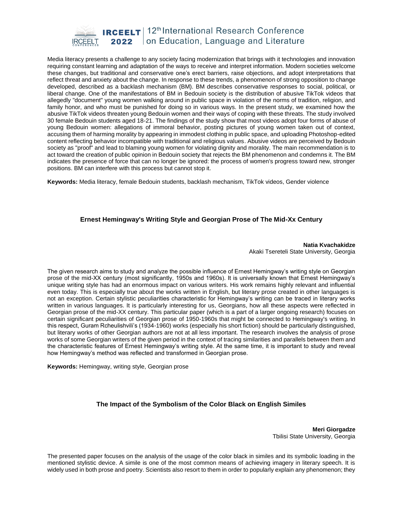

Media literacy presents a challenge to any society facing modernization that brings with it technologies and innovation requiring constant learning and adaptation of the ways to receive and interpret information. Modern societies welcome these changes, but traditional and conservative one's erect barriers, raise objections, and adopt interpretations that reflect threat and anxiety about the change. In response to these trends, a phenomenon of strong opposition to change developed, described as a backlash mechanism (BM). BM describes conservative responses to social, political, or liberal change. One of the manifestations of BM in Bedouin society is the distribution of abusive TikTok videos that allegedly "document" young women walking around in public space in violation of the norms of tradition, religion, and family honor, and who must be punished for doing so in various ways. In the present study, we examined how the abusive TikTok videos threaten young Bedouin women and their ways of coping with these threats. The study involved 30 female Bedouin students aged 18-21. The findings of the study show that most videos adopt four forms of abuse of young Bedouin women: allegations of immoral behavior, posting pictures of young women taken out of context, accusing them of harming morality by appearing in immodest clothing in public space, and uploading Photoshop-edited content reflecting behavior incompatible with traditional and religious values. Abusive videos are perceived by Bedouin society as "proof" and lead to blaming young women for violating dignity and morality. The main recommendation is to act toward the creation of public opinion in Bedouin society that rejects the BM phenomenon and condemns it. The BM indicates the presence of force that can no longer be ignored: the process of women's progress toward new, stronger positions. BM can interfere with this process but cannot stop it.

**Keywords:** Media literacy, female Bedouin students, backlash mechanism, TikTok videos, Gender violence

## **Ernest Hemingway's Writing Style and Georgian Prose of The Mid-Xx Century**

**Natia Kvachakidze** Akaki Tsereteli State University, Georgia

The given research aims to study and analyze the possible influence of Ernest Hemingway's writing style on Georgian prose of the mid-XX century (most significantly, 1950s and 1960s). It is universally known that Ernest Hemingway's unique writing style has had an enormous impact on various writers. His work remains highly relevant and influential even today. This is especially true about the works written in English, but literary prose created in other languages is not an exception. Certain stylistic peculiarities characteristic for Hemingway's writing can be traced in literary works written in various languages. It is particularly interesting for us, Georgians, how all these aspects were reflected in Georgian prose of the mid-XX century. This particular paper (which is a part of a larger ongoing research) focuses on certain significant peculiarities of Georgian prose of 1950-1960s that might be connected to Hemingway's writing. In this respect, Guram Rcheulishvili's (1934-1960) works (especially his short fiction) should be particularly distinguished, but literary works of other Georgian authors are not at all less important. The research involves the analysis of prose works of some Georgian writers of the given period in the context of tracing similarities and parallels between them and the characteristic features of Ernest Hemingway's writing style. At the same time, it is important to study and reveal how Hemingway's method was reflected and transformed in Georgian prose.

**Keywords:** Hemingway, writing style, Georgian prose

## **The Impact of the Symbolism of the Color Black on English Similes**

**Meri Giorgadze** Tbilisi State University, Georgia

The presented paper focuses on the analysis of the usage of the color black in similes and its symbolic loading in the mentioned stylistic device. A simile is one of the most common means of achieving imagery in literary speech. It is widely used in both prose and poetry. Scientists also resort to them in order to popularly explain any phenomenon; they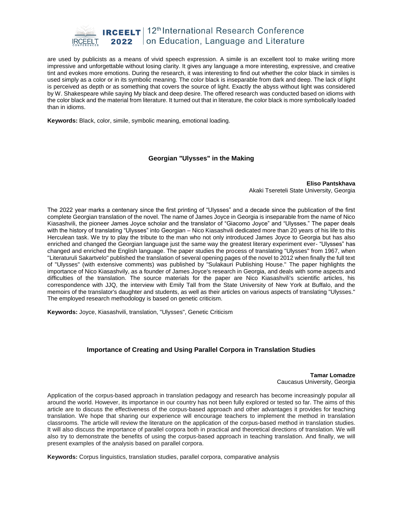

are used by publicists as a means of vivid speech expression. A simile is an excellent tool to make writing more impressive and unforgettable without losing clarity. It gives any language a more interesting, expressive, and creative tint and evokes more emotions. During the research, it was interesting to find out whether the color black in similes is used simply as a color or in its symbolic meaning. The color black is inseparable from dark and deep. The lack of light is perceived as depth or as something that covers the source of light. Exactly the abyss without light was considered by W. Shakespeare while saying My black and deep desire. The offered research was conducted based on idioms with the color black and the material from literature. It turned out that in literature, the color black is more symbolically loaded than in idioms.

**Keywords:** Black, color, simile, symbolic meaning, emotional loading.

#### **Georgian "Ulysses" in the Making**

**Eliso Pantskhava** Akaki Tsereteli State University, Georgia

The 2022 year marks a centenary since the first printing of "Ulysses" and a decade since the publication of the first complete Georgian translation of the novel. The name of James Joyce in Georgia is inseparable from the name of Nico Kiasashvili, the pioneer James Joyce scholar and the translator of "Giacomo Joyce" and "Ulysses." The paper deals with the history of translating "Ulysses" into Georgian – Nico Kiasashvili dedicated more than 20 years of his life to this Herculean task. We try to play the tribute to the man who not only introduced James Joyce to Georgia but has also enriched and changed the Georgian language just the same way the greatest literary experiment ever- "Ulysses" has changed and enriched the English language. The paper studies the process of translating "Ulysses" from 1967, when "Literaturuli Sakartvelo" published the translation of several opening pages of the novel to 2012 when finally the full text of "Ulysses" (with extensive comments) was published by "Sulakauri Publishing House." The paper highlights the importance of Nico Kiasashvily, as a founder of James Joyce's research in Georgia, and deals with some aspects and difficulties of the translation. The source materials for the paper are Nico Kiasashvili's scientific articles, his correspondence with JJQ, the interview with Emily Tall from the State University of New York at Buffalo, and the memoirs of the translator's daughter and students, as well as their articles on various aspects of translating "Ulysses." The employed research methodology is based on genetic criticism.

**Keywords:** Joyce, Kiasashvili, translation, "Ulysses", Genetic Criticism

## **Importance of Creating and Using Parallel Corpora in Translation Studies**

**Tamar Lomadze** Caucasus University, Georgia

Application of the corpus-based approach in translation pedagogy and research has become increasingly popular all around the world. However, its importance in our country has not been fully explored or tested so far. The aims of this article are to discuss the effectiveness of the corpus-based approach and other advantages it provides for teaching translation. We hope that sharing our experience will encourage teachers to implement the method in translation classrooms. The article will review the literature on the application of the corpus-based method in translation studies. It will also discuss the importance of parallel corpora both in practical and theoretical directions of translation. We will also try to demonstrate the benefits of using the corpus-based approach in teaching translation. And finally, we will present examples of the analysis based on parallel corpora.

**Keywords:** Corpus linguistics, translation studies, parallel corpora, comparative analysis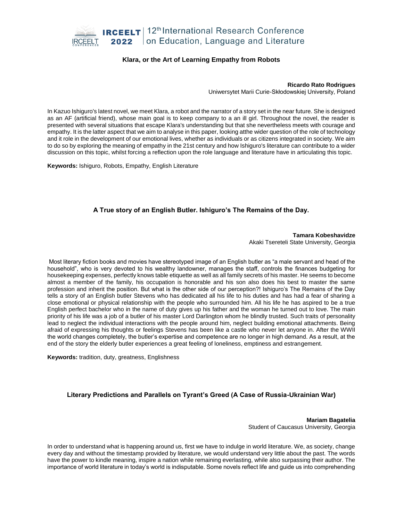

## **Klara, or the Art of Learning Empathy from Robots**

#### **Ricardo Rato Rodrigues**

Uniwersytet Marii Curie-Skłodowskiej University, Poland

In Kazuo Ishiguro's latest novel, we meet Klara, a robot and the narrator of a story set in the near future. She is designed as an AF (artificial friend), whose main goal is to keep company to a an ill girl. Throughout the novel, the reader is presented with several situations that escape Klara's understanding but that she nevertheless meets with courage and empathy. It is the latter aspect that we aim to analyse in this paper, looking atthe wider question of the role of technology and it role in the development of our emotional lives, whether as individuals or as citizens integrated in society. We aim to do so by exploring the meaning of empathy in the 21st century and how Ishiguro's literature can contribute to a wider discussion on this topic, whilst forcing a reflection upon the role language and literature have in articulating this topic.

**Keywords:** Ishiguro, Robots, Empathy, English Literature

## **A True story of an English Butler. Ishiguro's The Remains of the Day.**

**Tamara Kobeshavidze** Akaki Tsereteli State University, Georgia

Most literary fiction books and movies have stereotyped image of an English butler as "a male servant and head of the household", who is very devoted to his wealthy landowner, manages the staff, controls the finances budgeting for housekeeping expenses, perfectly knows table etiquette as well as all family secrets of his master. He seems to become almost a member of the family, his occupation is honorable and his son also does his best to master the same profession and inherit the position. But what is the other side of our perception?! Ishiguro's The Remains of the Day tells a story of an English butler Stevens who has dedicated all his life to his duties and has had a fear of sharing a close emotional or physical relationship with the people who surrounded him. All his life he has aspired to be a true English perfect bachelor who in the name of duty gives up his father and the woman he turned out to love. The main priority of his life was a job of a butler of his master Lord Darlington whom he blindly trusted. Such traits of personality lead to neglect the individual interactions with the people around him, neglect building emotional attachments. Being afraid of expressing his thoughts or feelings Stevens has been like a castle who never let anyone in. After the WWII the world changes completely, the butler's expertise and competence are no longer in high demand. As a result, at the end of the story the elderly butler experiences a great feeling of loneliness, emptiness and estrangement.

**Keywords:** tradition, duty, greatness, Englishness

## **Literary Predictions and Parallels on Tyrant's Greed (A Case of Russia-Ukrainian War)**

**Mariam Bagatelia** Student of Caucasus University, Georgia

In order to understand what is happening around us, first we have to indulge in world literature. We, as society, change every day and without the timestamp provided by literature, we would understand very little about the past. The words have the power to kindle meaning, inspire a nation while remaining everlasting, while also surpassing their author. The importance of world literature in today's world is indisputable. Some novels reflect life and guide us into comprehending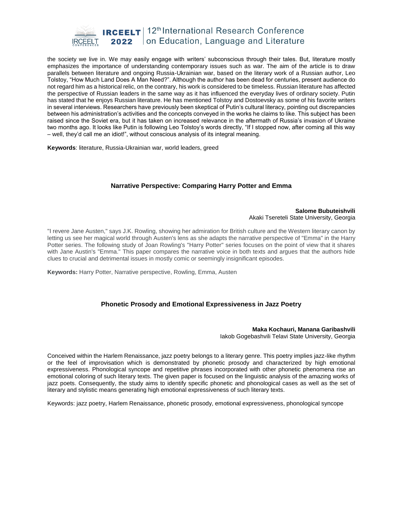

the society we live in. We may easily engage with writers' subconscious through their tales. But, literature mostly emphasizes the importance of understanding contemporary issues such as war. The aim of the article is to draw parallels between literature and ongoing Russia-Ukrainian war, based on the literary work of a Russian author, Leo Tolstoy, "How Much Land Does A Man Need?". Although the author has been dead for centuries, present audience do not regard him as a historical relic, on the contrary, his work is considered to be timeless. Russian literature has affected the perspective of Russian leaders in the same way as it has influenced the everyday lives of ordinary society. Putin has stated that he enjoys Russian literature. He has mentioned Tolstoy and Dostoevsky as some of his favorite writers in several interviews. Researchers have previously been skeptical of Putin's cultural literacy, pointing out discrepancies between his administration's activities and the concepts conveyed in the works he claims to like. This subject has been raised since the Soviet era, but it has taken on increased relevance in the aftermath of Russia's invasion of Ukraine two months ago. It looks like Putin is following Leo Tolstoy's words directly, "If I stopped now, after coming all this way – well, they'd call me an idiot!", without conscious analysis of its integral meaning.

**Keywords**: literature, Russia-Ukrainian war, world leaders, greed

## **Narrative Perspective: Comparing Harry Potter and Emma**

#### **Salome Bubuteishvili** Akaki Tsereteli State University, Georgia

"I revere Jane Austen," says J.K. Rowling, showing her admiration for British culture and the Western literary canon by letting us see her magical world through Austen's lens as she adapts the narrative perspective of "Emma" in the Harry Potter series. The following study of Joan Rowling's "Harry Potter" series focuses on the point of view that it shares with Jane Austin's "Emma." This paper compares the narrative voice in both texts and argues that the authors hide clues to crucial and detrimental issues in mostly comic or seemingly insignificant episodes.

**Keywords:** Harry Potter, Narrative perspective, Rowling, Emma, Austen

## **Phonetic Prosody and Emotional Expressiveness in Jazz Poetry**

#### **Maka Kochauri, Manana Garibashvili**

Iakob Gogebashvili Telavi State University, Georgia

Conceived within the Harlem Renaissance, jazz poetry belongs to a literary genre. This poetry implies jazz-like rhythm or the feel of improvisation which is demonstrated by phonetic prosody and characterized by high emotional expressiveness. Phonological syncope and repetitive phrases incorporated with other phonetic phenomena rise an emotional coloring of such literary texts. The given paper is focused on the linguistic analysis of the amazing works of jazz poets. Consequently, the study aims to identify specific phonetic and phonological cases as well as the set of literary and stylistic means generating high emotional expressiveness of such literary texts.

Keywords: jazz poetry, Harlem Renaissance, phonetic prosody, emotional expressiveness, phonological syncope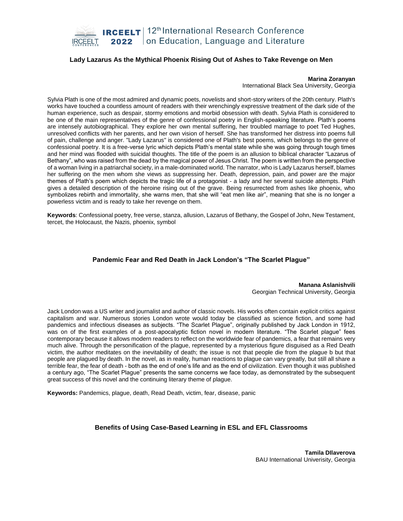

## **Lady Lazarus As the Mythical Phoenix Rising Out of Ashes to Take Revenge on Men**

#### **Marina Zoranyan**

International Black Sea University, Georgia

Sylvia Plath is one of the most admired and dynamic poets, novelists and short-story writers of the 20th century. Plath's works have touched a countless amount of readers with their wrenchingly expressive treatment of the dark side of the human experience, such as despair, stormy emotions and morbid obsession with death. Sylvia Plath is considered to be one of the main representatives of the genre of confessional poetry in English-speaking literature. Plath's poems are intensely autobiographical. They explore her own mental suffering, her troubled marriage to poet Ted Hughes, unresolved conflicts with her parents, and her own vision of herself. She has transformed her distress into poems full of pain, challenge and anger. "Lady Lazarus" is considered one of Plath's best poems, which belongs to the genre of confessional poetry. It is a free-verse lyric which depicts Plath's mental state while she was going through tough times and her mind was flooded with suicidal thoughts. The title of the poem is an allusion to biblical character "Lazarus of Bethany", who was raised from the dead by the magical power of Jesus Christ. The poem is written from the perspective of a woman living in a patriarchal society, in a male-dominated world. The narrator, who is Lady Lazarus herself, blames her suffering on the men whom she views as suppressing her. Death, depression, pain, and power are the major themes of Plath's poem which depicts the tragic life of a protagonist - a lady and her several suicide attempts. Plath gives a detailed description of the heroine rising out of the grave. Being resurrected from ashes like phoenix, who symbolizes rebirth and immortality, she warns men, that she will "eat men like air", meaning that she is no longer a powerless victim and is ready to take her revenge on them.

**Keywords**: Confessional poetry, free verse, stanza, allusion, Lazarus of Bethany, the Gospel of John, New Testament, tercet, the Holocaust, the Nazis, phoenix, symbol

#### **Pandemic Fear and Red Death in Jack London's "The Scarlet Plague"**

**Manana Aslanishvili** Georgian Technical University, Georgia

Jack London was a US writer and journalist and author of classic novels. His works often contain explicit critics against capitalism and war. Numerous stories London wrote would today be classified as science fiction, and some had pandemics and infectious diseases as subjects. "The Scarlet Plague", originally published by Jack London in 1912, was on of the first examples of a post-apocalyptic fiction novel in modern literature. "The Scarlet plague" fees contemporary because it allows modern readers to reflect on the worldwide fear of pandemics, a fear that remains very much alive. Through the personification of the plague, represented by a mysterious figure disguised as a Red Death victim, the author meditates on the inevitability of death; the issue is not that people die from the plague b but that people are plagued by death. In the novel, as in reality, human reactions to plague can vary greatly, but still all share a terrible fear, the fear of death - both as the end of one's life and as the end of civilization. Even though it was published a century ago, "The Scarlet Plague" presents the same concerns we face today, as demonstrated by the subsequent great success of this novel and the continuing literary theme of plague.

**Keywords:** Pandemics, plague, death, Read Death, victim, fear, disease, panic

## **Benefits of Using Case-Based Learning in ESL and EFL Classrooms**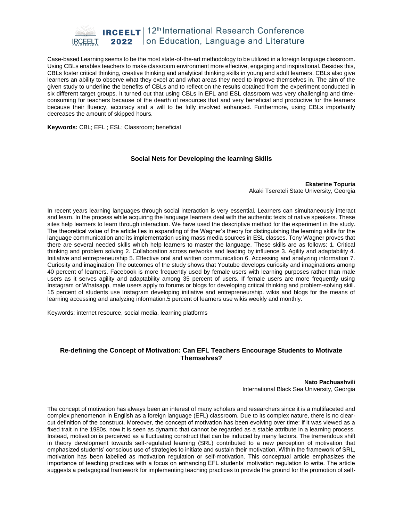

Case-based Learning seems to be the most state-of-the-art methodology to be utilized in a foreign language classroom. Using CBLs enables teachers to make classroom environment more effective, engaging and inspirational. Besides this, CBLs foster critical thinking, creative thinking and analytical thinking skills in young and adult learners. CBLs also give learners an ability to observe what they excel at and what areas they need to improve themselves in. The aim of the given study to underline the benefits of CBLs and to reflect on the results obtained from the experiment conducted in six different target groups. It turned out that using CBLs in EFL and ESL classroom was very challenging and timeconsuming for teachers because of the dearth of resources that and very beneficial and productive for the learners because their fluency, accuracy and a will to be fully involved enhanced. Furthermore, using CBLs importantly decreases the amount of skipped hours.

**Keywords:** CBL; EFL ; ESL; Classroom; beneficial

#### **Social Nets for Developing the learning Skills**

**Ekaterine Topuria** Akaki Tsereteli State University, Georgia

In recent years learning languages through social interaction is very essential. Learners can simultaneously interact and learn. In the process while acquiring the language learners deal with the authentic texts of native speakers. These sites help learners to learn through interaction. We have used the descriptive method for the experiment in the study. The theoretical value of the article lies in expanding of the Wagner's theory for distinguishing the learning skills for the language communication and its implementation using mass media sources in ESL classes. Tony Wagner proves that there are several needed skills which help learners to master the language. These skills are as follows: 1. Critical thinking and problem solving 2. Collaboration across networks and leading by influence 3. Agility and adaptability 4. Initiative and entrepreneurship 5. Effective oral and written communication 6. Accessing and analyzing information 7. Curiosity and imagination The outcomes of the study shows that Youtube develops curiosity and imaginations among 40 percent of learners. Facebook is more frequently used by female users with learning purposes rather than male users as it serves agility and adaptability among 35 percent of users. If female users are more frequently using Instagram or Whatsapp, male users apply to forums or blogs for developing critical thinking and problem-solving skill. 15 percent of students use Instagram developing initiative and entrepreneurship. wikis and blogs for the means of learning accessing and analyzing information.5 percent of learners use wikis weekly and monthly.

Keywords: internet resource, social media, learning platforms

## **Re-defining the Concept of Motivation: Can EFL Teachers Encourage Students to Motivate Themselves?**

**Nato Pachuashvili** International Black Sea University, Georgia

The concept of motivation has always been an interest of many scholars and researchers since it is a multifaceted and complex phenomenon in English as a foreign language (EFL) classroom. Due to its complex nature, there is no clearcut definition of the construct. Moreover, the concept of motivation has been evolving over time: if it was viewed as a fixed trait in the 1980s, now it is seen as dynamic that cannot be regarded as a stable attribute in a learning process. Instead, motivation is perceived as a fluctuating construct that can be induced by many factors. The tremendous shift in theory development towards self-regulated learning (SRL) contributed to a new perception of motivation that emphasized students' conscious use of strategies to initiate and sustain their motivation. Within the framework of SRL, motivation has been labelled as motivation regulation or self-motivation. This conceptual article emphasizes the importance of teaching practices with a focus on enhancing EFL students' motivation regulation to write. The article suggests a pedagogical framework for implementing teaching practices to provide the ground for the promotion of self-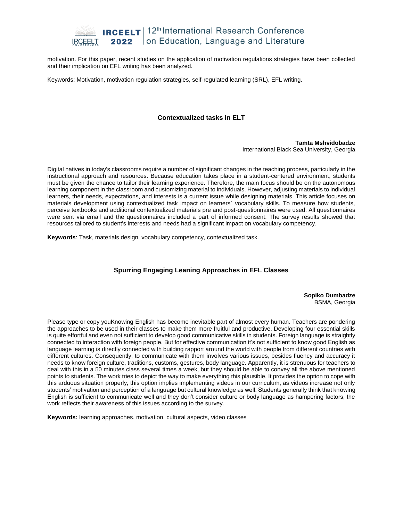

motivation. For this paper, recent studies on the application of motivation regulations strategies have been collected and their implication on EFL writing has been analyzed.

Keywords: Motivation, motivation regulation strategies, self-regulated learning (SRL), EFL writing.

## **Contextualized tasks in ELT**

**Tamta Mshvidobadze** International Black Sea University, Georgia

Digital natives in today's classrooms require a number of significant changes in the teaching process, particularly in the instructional approach and resources. Because education takes place in a student-centered environment, students must be given the chance to tailor their learning experience. Therefore, the main focus should be on the autonomous learning component in the classroom and customizing material to individuals. However, adjusting materials to individual learners, their needs, expectations, and interests is a current issue while designing materials. This article focuses on materials development using contextualized task impact on learners` vocabulary skills. To measure how students, perceive textbooks and additional contextualized materials pre and post-questionnaires were used. All questionnaires were sent via email and the questionnaires included a part of informed consent. The survey results showed that resources tailored to student's interests and needs had a significant impact on vocabulary competency.

**Keywords**: Task, materials design, vocabulary competency, contextualized task.

## **Spurring Engaging Leaning Approaches in EFL Classes**

**Sopiko Dumbadze** BSMA, Georgia

Please type or copy youKnowing English has become inevitable part of almost every human. Teachers are pondering the approaches to be used in their classes to make them more fruitful and productive. Developing four essential skills is quite effortful and even not sufficient to develop good communicative skills in students. Foreign language is straightly connected to interaction with foreign people. But for effective communication it's not sufficient to know good English as language learning is directly connected with building rapport around the world with people from different countries with different cultures. Consequently, to communicate with them involves various issues, besides fluency and accuracy it needs to know foreign culture, traditions, customs, gestures, body language. Apparently, it is strenuous for teachers to deal with this in a 50 minutes class several times a week, but they should be able to convey all the above mentioned points to students. The work tries to depict the way to make everything this plausible. It provides the option to cope with this arduous situation properly, this option implies implementing videos in our curriculum, as videos increase not only students' motivation and perception of a language but cultural knowledge as well. Students generally think that knowing English is sufficient to communicate well and they don't consider culture or body language as hampering factors, the work reflects their awareness of this issues according to the survey.

**Keywords:** learning approaches, motivation, cultural aspects, video classes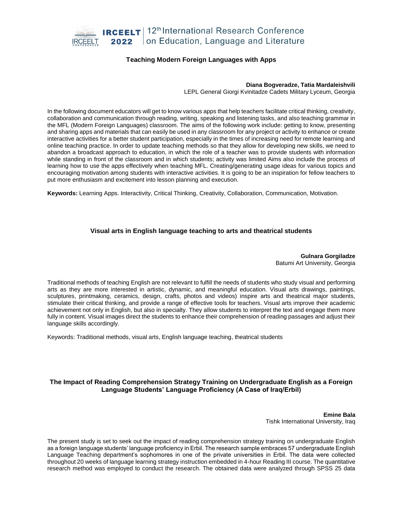

## **Teaching Modern Foreign Languages with Apps**

#### **Diana Bogveradze, Tatia Mardaleishvili**

LEPL General Giorgi Kvinitadze Cadets Military Lyceum, Georgia

In the following document educators will get to know various apps that help teachers facilitate critical thinking, creativity, collaboration and communication through reading, writing, speaking and listening tasks, and also teaching grammar in the MFL (Modern Foreign Languages) classroom. The aims of the following work include: getting to know, presenting and sharing apps and materials that can easily be used in any classroom for any project or activity to enhance or create interactive activities for a better student participation, especially in the times of increasing need for remote learning and online teaching practice. In order to update teaching methods so that they allow for developing new skills, we need to abandon a broadcast approach to education, in which the role of a teacher was to provide students with information while standing in front of the classroom and in which students; activity was limited Aims also include the process of learning how to use the apps effectively when teaching MFL. Creating/generating usage ideas for various topics and encouraging motivation among students with interactive activities. It is going to be an inspiration for fellow teachers to put more enthusiasm and excitement into lesson planning and execution.

**Keywords:** Learning Apps. Interactivity, Critical Thinking, Creativity, Collaboration, Communication, Motivation.

## **Visual arts in English language teaching to arts and theatrical students**

**Gulnara Gorgiladze** Batumi Art University, Georgia

Traditional methods of teaching English are not relevant to fulfill the needs of students who study visual and performing arts as they are more interested in artistic, dynamic, and meaningful education. Visual arts drawings, paintings, sculptures, printmaking, ceramics, design, crafts, photos and videos) inspire arts and theatrical major students, stimulate their critical thinking, and provide a range of effective tools for teachers. Visual arts improve their academic achievement not only in English, but also in specialty. They allow students to interpret the text and engage them more fully in content. Visual images direct the students to enhance their comprehension of reading passages and adjust their language skills accordingly.

Keywords: Traditional methods, visual arts, English language teaching, theatrical students

## **The Impact of Reading Comprehension Strategy Training on Undergraduate English as a Foreign Language Students' Language Proficiency (A Case of Iraq/Erbil)**

**Emine Bala** Tishk International University, Iraq

The present study is set to seek out the impact of reading comprehension strategy training on undergraduate English as a foreign language students' language proficiency in Erbil. The research sample embraces 57 undergraduate English Language Teaching department's sophomores in one of the private universities in Erbil. The data were collected throughout 20 weeks of language learning strategy instruction embedded in 4-hour Reading III course. The quantitative research method was employed to conduct the research. The obtained data were analyzed through SPSS 25 data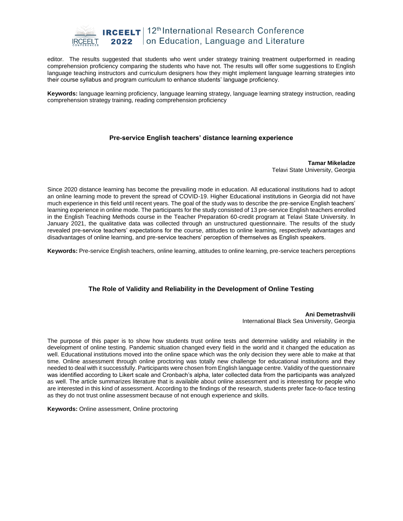

editor. The results suggested that students who went under strategy training treatment outperformed in reading comprehension proficiency comparing the students who have not. The results will offer some suggestions to English language teaching instructors and curriculum designers how they might implement language learning strategies into their course syllabus and program curriculum to enhance students' language proficiency.

**Keywords:** language learning proficiency, language learning strategy, language learning strategy instruction, reading comprehension strategy training, reading comprehension proficiency

## **Pre-service English teachers' distance learning experience**

**Tamar Mikeladze** Telavi State University, Georgia

Since 2020 distance learning has become the prevailing mode in education. All educational institutions had to adopt an online learning mode to prevent the spread of COVID-19. Higher Educational institutions in Georgia did not have much experience in this field until recent years. The goal of the study was to describe the pre-service English teachers' learning experience in online mode. The participants for the study consisted of 13 pre-service English teachers enrolled in the English Teaching Methods course in the Teacher Preparation 60-credit program at Telavi State University. In January 2021, the qualitative data was collected through an unstructured questionnaire. The results of the study revealed pre-service teachers' expectations for the course, attitudes to online learning, respectively advantages and disadvantages of online learning, and pre-service teachers' perception of themselves as English speakers.

**Keywords:** Pre-service English teachers, online learning, attitudes to online learning, pre-service teachers perceptions

## **The Role of Validity and Reliability in the Development of Online Testing**

**Ani Demetrashvili** International Black Sea University, Georgia

The purpose of this paper is to show how students trust online tests and determine validity and reliability in the development of online testing. Pandemic situation changed every field in the world and it changed the education as well. Educational institutions moved into the online space which was the only decision they were able to make at that time. Online assessment through online proctoring was totally new challenge for educational institutions and they needed to deal with it successfully. Participants were chosen from English language centre. Validity of the questionnaire was identified according to Likert scale and Cronbach's alpha, later collected data from the participants was analyzed as well. The article summarizes literature that is available about online assessment and is interesting for people who are interested in this kind of assessment. According to the findings of the research, students prefer face-to-face testing as they do not trust online assessment because of not enough experience and skills.

**Keywords:** Online assessment, Online proctoring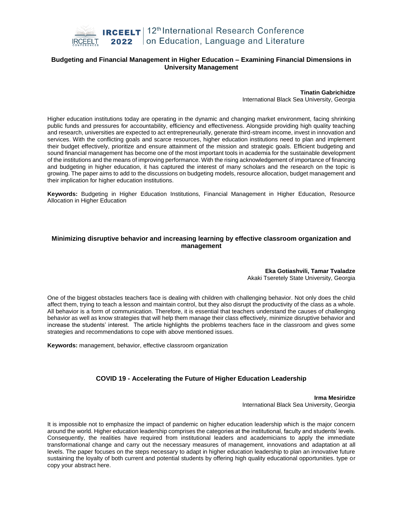

## **Budgeting and Financial Management in Higher Education – Examining Financial Dimensions in University Management**

**Tinatin Gabrichidze**

International Black Sea University, Georgia

Higher education institutions today are operating in the dynamic and changing market environment, facing shrinking public funds and pressures for accountability, efficiency and effectiveness. Alongside providing high quality teaching and research, universities are expected to act entrepreneurially, generate third-stream income, invest in innovation and services. With the conflicting goals and scarce resources, higher education institutions need to plan and implement their budget effectively, prioritize and ensure attainment of the mission and strategic goals. Efficient budgeting and sound financial management has become one of the most important tools in academia for the sustainable development of the institutions and the means of improving performance. With the rising acknowledgement of importance of financing and budgeting in higher education, it has captured the interest of many scholars and the research on the topic is growing. The paper aims to add to the discussions on budgeting models, resource allocation, budget management and their implication for higher education institutions.

**Keywords:** Budgeting in Higher Education Institutions, Financial Management in Higher Education, Resource Allocation in Higher Education

#### **Minimizing disruptive behavior and increasing learning by effective classroom organization and management**

**Eka Gotiashvili, Tamar Tvaladze** Akaki Tseretely State University, Georgia

One of the biggest obstacles teachers face is dealing with children with challenging behavior. Not only does the child affect them, trying to teach a lesson and maintain control, but they also disrupt the productivity of the class as a whole. All behavior is a form of communication. Therefore, it is essential that teachers understand the causes of challenging behavior as well as know strategies that will help them manage their class effectively, minimize disruptive behavior and increase the students' interest. The article highlights the problems teachers face in the classroom and gives some strategies and recommendations to cope with above mentioned issues.

**Keywords:** management, behavior, effective classroom organization

## **COVID 19 - Accelerating the Future of Higher Education Leadership**

**Irma Mesiridze** International Black Sea University, Georgia

It is impossible not to emphasize the impact of pandemic on higher education leadership which is the major concern around the world. Higher education leadership comprises the categories at the institutional, faculty and students' levels. Consequently, the realities have required from institutional leaders and academicians to apply the immediate transformational change and carry out the necessary measures of management, innovations and adaptation at all levels. The paper focuses on the steps necessary to adapt in higher education leadership to plan an innovative future sustaining the loyalty of both current and potential students by offering high quality educational opportunities. type or copy your abstract here.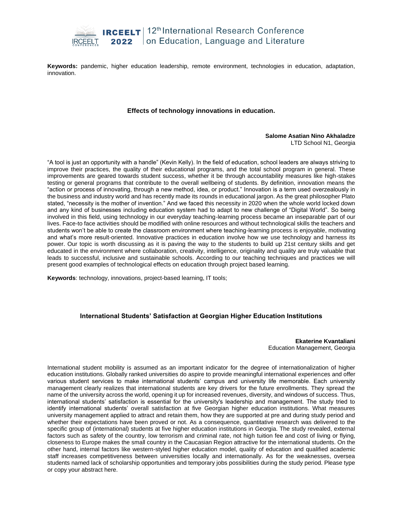

**Keywords:** pandemic, higher education leadership, remote environment, technologies in education, adaptation, innovation.

#### **Effects of technology innovations in education.**

#### **Salome Asatian Nino Akhaladze**  LTD School N1, Georgia

"A tool is just an opportunity with a handle" (Kevin Kelly). In the field of education, school leaders are always striving to improve their practices, the quality of their educational programs, and the total school program in general. These improvements are geared towards student success, whether it be through accountability measures like high-stakes testing or general programs that contribute to the overall wellbeing of students. By definition, innovation means the "action or process of innovating, through a new method, idea, or product." Innovation is a term used overzealously in the business and industry world and has recently made its rounds in educational jargon. As the great philosopher Plato stated, "necessity is the mother of invention." And we faced this necessity in 2020 when the whole world locked down and any kind of businesses including education system had to adapt to new challenge of "Digital World". So being involved in this field, using technology in our everyday teaching-learning process became an inseparable part of our lives. Face-to face activities should be modified with online resources and without technological skills the teachers and students won't be able to create the classroom environment where teaching-learning process is enjoyable, motivating and what's more result-oriented. Innovative practices in education involve how we use technology and harness its power. Our topic is worth discussing as it is paving the way to the students to build up 21st century skills and get educated in the environment where collaboration, creativity, intelligence, originality and quality are truly valuable that leads to successful, inclusive and sustainable schools. According to our teaching techniques and practices we will present good examples of technological effects on education through project based learning.

**Keywords**: technology, innovations, project-based learning, IT tools;

## **International Students' Satisfaction at Georgian Higher Education Institutions**

**Ekaterine Kvantaliani** Education Management, Georgia

International student mobility is assumed as an important indicator for the degree of internationalization of higher education institutions. Globally ranked universities do aspire to provide meaningful international experiences and offer various student services to make international students' campus and university life memorable. Each university management clearly realizes that international students are key drivers for the future enrollments. They spread the name of the university across the world, opening it up for increased revenues, diversity, and windows of success. Thus, international students' satisfaction is essential for the university's leadership and management. The study tried to identify international students' overall satisfaction at five Georgian higher education institutions. What measures university management applied to attract and retain them, how they are supported at pre and during study period and whether their expectations have been proved or not. As a consequence, quantitative research was delivered to the specific group of (international) students at five higher education institutions in Georgia. The study revealed, external factors such as safety of the country, low terrorism and criminal rate, not high tuition fee and cost of living or flying, closeness to Europe makes the small country in the Caucasian Region attractive for the international students. On the other hand, internal factors like western-styled higher education model, quality of education and qualified academic staff increases competitiveness between universities locally and internationally. As for the weaknesses, oversea students named lack of scholarship opportunities and temporary jobs possibilities during the study period. Please type or copy your abstract here.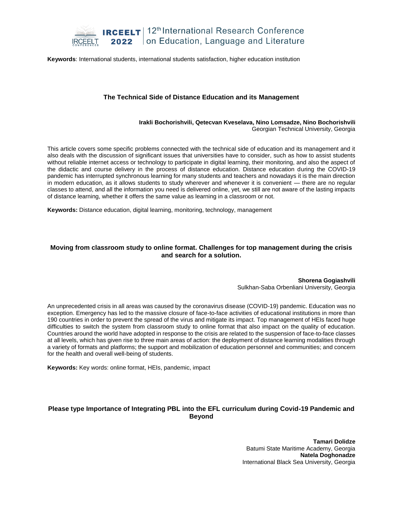

**Keywords**: International students, international students satisfaction, higher education institution

#### **The Technical Side of Distance Education and its Management**

#### **Irakli Bochorishvili, Qetecvan Kveselava, Nino Lomsadze, Nino Bochorishvili** Georgian Technical University, Georgia

This article covers some specific problems connected with the technical side of education and its management and it also deals with the discussion of significant issues that universities have to consider, such as how to assist students without reliable internet access or technology to participate in digital learning, their monitoring, and also the aspect of the didactic and course delivery in the process of distance education. Distance education during the COVID-19 pandemic has interrupted synchronous learning for many students and teachers and nowadays it is the main direction in modern education, as it allows students to study wherever and whenever it is convenient — there are no regular classes to attend, and all the information you need is delivered online, yet, we still are not aware of the lasting impacts of distance learning, whether it offers the same value as learning in a classroom or not.

**Keywords:** Distance education, digital learning, monitoring, technology, management

#### **Moving from classroom study to online format. Challenges for top management during the crisis and search for a solution.**

**Shorena Gogiashvili** Sulkhan-Saba Orbenliani University, Georgia

An unprecedented crisis in all areas was caused by the coronavirus disease (COVID-19) pandemic. Education was no exception. Emergency has led to the massive closure of face-to-face activities of educational institutions in more than 190 countries in order to prevent the spread of the virus and mitigate its impact. Top management of HEIs faced huge difficulties to switch the system from classroom study to online format that also impact on the quality of education. Countries around the world have adopted in response to the crisis are related to the suspension of face-to-face classes at all levels, which has given rise to three main areas of action: the deployment of distance learning modalities through a variety of formats and platforms; the support and mobilization of education personnel and communities; and concern for the health and overall well-being of students.

**Keywords:** Key words: online format, HEIs, pandemic, impact

## **Please type Importance of Integrating PBL into the EFL curriculum during Covid-19 Pandemic and Beyond**

**Tamari Dolidze**  Batumi State Maritime Academy, Georgia **Natela Doghonadze** International Black Sea University, Georgia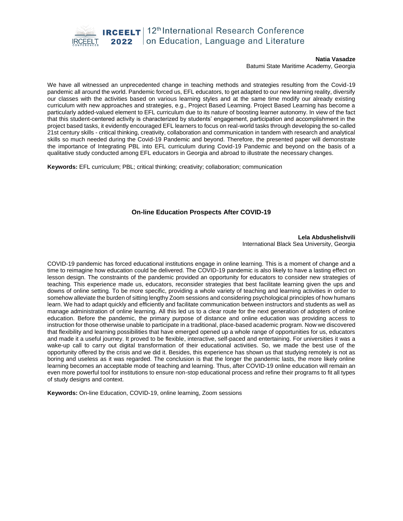**IRCEELT** | 12<sup>th</sup> International Research Conference

on Education, Language and Literature 2022

#### **Natia Vasadze**

Batumi State Maritime Academy, Georgia

We have all witnessed an unprecedented change in teaching methods and strategies resulting from the Covid-19 pandemic all around the world. Pandemic forced us, EFL educators, to get adapted to our new learning reality, diversify our classes with the activities based on various learning styles and at the same time modify our already existing curriculum with new approaches and strategies, e.g., Project Based Learning. Project Based Learning has become a particularly added-valued element to EFL curriculum due to its nature of boosting learner autonomy. In view of the fact that this student-centered activity is characterized by students' engagement, participation and accomplishment in the project based tasks, it evidently encouraged EFL learners to focus on real-world tasks through developing the so-called 21st century skills - critical thinking, creativity, collaboration and communication in tandem with research and analytical skills so much needed during the Covid-19 Pandemic and beyond. Therefore, the presented paper will demonstrate the importance of Integrating PBL into EFL curriculum during Covid-19 Pandemic and beyond on the basis of a qualitative study conducted among EFL educators in Georgia and abroad to illustrate the necessary changes.

**Keywords:** EFL curriculum; PBL; critical thinking; creativity; collaboration; communication

## **On-line Education Prospects After COVID-19**

**Lela Abdushelishvili** International Black Sea University, Georgia

COVID-19 pandemic has forced educational institutions engage in online learning. This is a moment of change and a time to reimagine how education could be delivered. The COVID-19 pandemic is also likely to have a lasting effect on lesson design. The constraints of the pandemic provided an opportunity for educators to consider new strategies of teaching. This experience made us, educators, reconsider strategies that best facilitate learning given the ups and downs of online setting. To be more specific, providing a whole variety of teaching and learning activities in order to somehow alleviate the burden of sitting lengthy Zoom sessions and considering psychological principles of how humans learn. We had to adapt quickly and efficiently and facilitate communication between instructors and students as well as manage administration of online learning. All this led us to a clear route for the next generation of adopters of online education. Before the pandemic, the primary purpose of distance and online education was providing access to instruction for those otherwise unable to participate in a traditional, place-based academic program. Now we discovered that flexibility and learning possibilities that have emerged opened up a whole range of opportunities for us, educators and made it a useful journey. It proved to be flexible, interactive, self-paced and entertaining. For universities it was a wake-up call to carry out digital transformation of their educational activities. So, we made the best use of the opportunity offered by the crisis and we did it. Besides, this experience has shown us that studying remotely is not as boring and useless as it was regarded. The conclusion is that the longer the pandemic lasts, the more likely online learning becomes an acceptable mode of teaching and learning. Thus, after COVID-19 online education will remain an even more powerful tool for institutions to ensure non-stop educational process and refine their programs to fit all types of study designs and context.

**Keywords:** On-line Education, COVID-19, online learning, Zoom sessions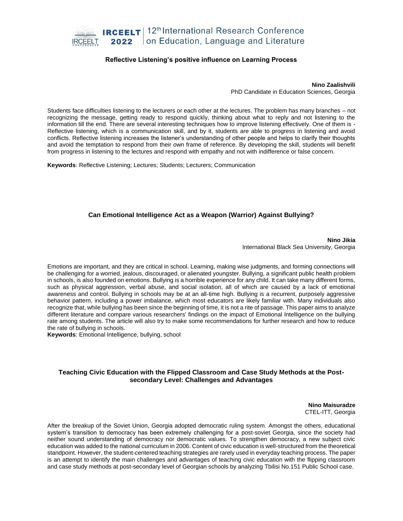

#### **Reflective Listening's positive influence on Learning Process**

**Nino Zaalishvili**  PhD Candidate in Education Sciences, Georgia

Students face difficulties listening to the lecturers or each other at the lectures. The problem has many branches – not recognizing the message, getting ready to respond quickly, thinking about what to reply and not listening to the information till the end. There are several interesting techniques how to improve listening effectively. One of them is - Reflective listening, which is a communication skill, and by it, students are able to progress in listening and avoid conflicts. Reflective listening increases the listener's understanding of other people and helps to clarify their thoughts and avoid the temptation to respond from their own frame of reference. By developing the skill, students will benefit from progress in listening to the lectures and respond with empathy and not with indifference or false concern.

**Keywords**: Reflective Listening; Lectures; Students; Lecturers; Communication

#### **Can Emotional Intelligence Act as a Weapon (Warrior) Against Bullying?**

**Nino Jikia** International Black Sea University, Georgia

Emotions are important, and they are critical in school. Learning, making wise judgments, and forming connections will be challenging for a worried, jealous, discouraged, or alienated youngster. Bullying, a significant public health problem in schools, is also founded on emotions. Bullying is a horrible experience for any child. It can take many different forms, such as physical aggression, verbal abuse, and social isolation, all of which are caused by a lack of emotional awareness and control. Bullying in schools may be at an all-time high. Bullying is a recurrent, purposely aggressive behavior pattern, including a power imbalance, which most educators are likely familiar with. Many individuals also recognize that, while bullying has been since the beginning of time, it is not a rite of passage. This paper aims to analyze different literature and compare various researchers' findings on the impact of Emotional Intelligence on the bullying rate among students. The article will also try to make some recommendations for further research and how to reduce the rate of bullying in schools.

**Keywords**: Emotional Intelligence, bullying, school

#### **Teaching Civic Education with the Flipped Classroom and Case Study Methods at the Postsecondary Level: Challenges and Advantages**

**Nino Maisuradze** CTEL-ITT, Georgia

After the breakup of the Soviet Union, Georgia adopted democratic ruling system. Amongst the others, educational system's transition to democracy has been extremely challenging for a post-soviet Georgia, since the society had neither sound understanding of democracy nor democratic values. To strengthen democracy, a new subject civic education was added to the national curriculum in 2006. Content of civic education is well-structured from the theoretical standpoint. However, the student-centered teaching strategies are rarely used in everyday teaching process. The paper is an attempt to identify the main challenges and advantages of teaching civic education with the flipping classroom and case study methods at post-secondary level of Georgian schools by analyzing Tbilisi No.151 Public School case.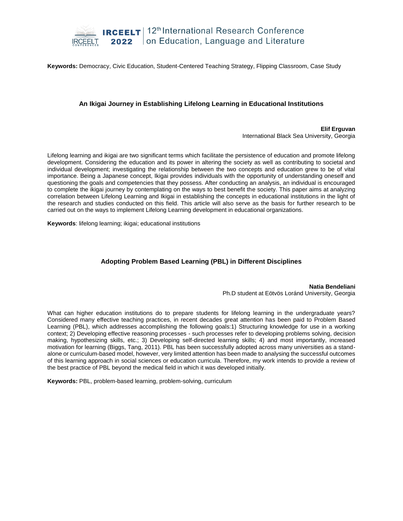

**Keywords:** Democracy, Civic Education, Student-Centered Teaching Strategy, Flipping Classroom, Case Study

## **An Ikigai Journey in Establishing Lifelong Learning in Educational Institutions**

**Elif Erguvan** International Black Sea University, Georgia

Lifelong learning and ikigai are two significant terms which facilitate the persistence of education and promote lifelong development. Considering the education and its power in altering the society as well as contributing to societal and individual development; investigating the relationship between the two concepts and education grew to be of vital importance. Being a Japanese concept, Ikigai provides individuals with the opportunity of understanding oneself and questioning the goals and competencies that they possess. After conducting an analysis, an individual is encouraged to complete the ikigai journey by contemplating on the ways to best benefit the society. This paper aims at analyzing correlation between Lifelong Learning and Ikigai in establishing the concepts in educational institutions in the light of the research and studies conducted on this field. This article will also serve as the basis for further research to be carried out on the ways to implement Lifelong Learning development in educational organizations.

**Keywords**: lifelong learning; ikigai; educational institutions

## **Adopting Problem Based Learning (PBL) in Different Disciplines**

## **Natia Bendeliani**

Ph.D student at Eötvös Loránd University, Georgia

What can higher education institutions do to prepare students for lifelong learning in the undergraduate years? Considered many effective teaching practices, in recent decades great attention has been paid to Problem Based Learning (PBL), which addresses accomplishing the following goals:1) Structuring knowledge for use in a working context; 2) Developing effective reasoning processes - such processes refer to developing problems solving, decision making, hypothesizing skills, etc.; 3) Developing self-directed learning skills; 4) and most importantly, increased motivation for learning (Biggs, Tang, 2011). PBL has been successfully adopted across many universities as a standalone or curriculum-based model, however, very limited attention has been made to analysing the successful outcomes of this learning approach in social sciences or education curricula. Therefore, my work intends to provide a review of the best practice of PBL beyond the medical field in which it was developed initially.

**Keywords:** PBL, problem-based learning, problem-solving, curriculum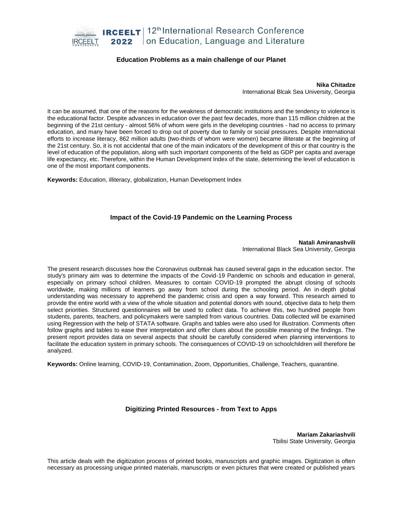

#### **Education Problems as a main challenge of our Planet**

**Nika Chitadze** International Blcak Sea University, Georgia

It can be assumed, that one of the reasons for the weakness of democratic institutions and the tendency to violence is the educational factor. Despite advances in education over the past few decades, more than 115 million children at the beginning of the 21st century - almost 56% of whom were girls in the developing countries - had no access to primary education, and many have been forced to drop out of poverty due to family or social pressures. Despite international efforts to increase literacy, 862 million adults (two-thirds of whom were women) became illiterate at the beginning of the 21st century. So, it is not accidental that one of the main indicators of the development of this or that country is the level of education of the population, along with such important components of the field as GDP per capita and average life expectancy, etc. Therefore, within the Human Development Index of the state, determining the level of education is one of the most important components.

**Keywords:** Education, illiteracy, globalization, Human Development Index

## **Impact of the Covid-19 Pandemic on the Learning Process**

**Natali Amiranashvili** International Black Sea University, Georgia

The present research discusses how the Coronavirus outbreak has caused several gaps in the education sector. The study's primary aim was to determine the impacts of the Covid-19 Pandemic on schools and education in general, especially on primary school children. Measures to contain COVID-19 prompted the abrupt closing of schools worldwide, making millions of learners go away from school during the schooling period. An in-depth global understanding was necessary to apprehend the pandemic crisis and open a way forward. This research aimed to provide the entire world with a view of the whole situation and potential donors with sound, objective data to help them select priorities. Structured questionnaires will be used to collect data. To achieve this, two hundred people from students, parents, teachers, and policymakers were sampled from various countries. Data collected will be examined using Regression with the help of STATA software. Graphs and tables were also used for illustration. Comments often follow graphs and tables to ease their interpretation and offer clues about the possible meaning of the findings. The present report provides data on several aspects that should be carefully considered when planning interventions to facilitate the education system in primary schools. The consequences of COVID-19 on schoolchildren will therefore be analyzed.

**Keywords:** Online learning, COVID-19, Contamination, Zoom, Opportunities, Challenge, Teachers, quarantine.

## **Digitizing Printed Resources - from Text to Apps**

**Mariam Zakariashvili** Tbilisi State University, Georgia

This article deals with the digitization process of printed books, manuscripts and graphic images. Digitization is often necessary as processing unique printed materials, manuscripts or even pictures that were created or published years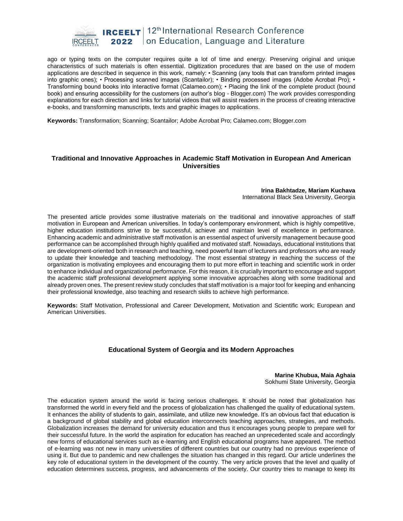

ago or typing texts on the computer requires quite a lot of time and energy. Preserving original and unique characteristics of such materials is often essential. Digitization procedures that are based on the use of modern applications are described in sequence in this work, namely: • Scanning (any tools that can transform printed images into graphic ones); • Processing scanned images (Scantailor); • Binding processed images (Adobe Acrobat Pro); • Transforming bound books into interactive format (Calameo.com); • Placing the link of the complete product (bound book) and ensuring accessibility for the customers (on author's blog - Blogger.com) The work provides corresponding explanations for each direction and links for tutorial videos that will assist readers in the process of creating interactive e-books, and transforming manuscripts, texts and graphic images to applications.

**Keywords:** Transformation; Scanning; Scantailor; Adobe Acrobat Pro; Calameo.com; Blogger.com

#### **Traditional and Innovative Approaches in Academic Staff Motivation in European And American Universities**

#### **Irina Bakhtadze, Mariam Kuchava** International Black Sea University, Georgia

The presented article provides some illustrative materials on the traditional and innovative approaches of staff motivation in European and American universities. In today's contemporary environment, which is highly competitive, higher education institutions strive to be successful, achieve and maintain level of excellence in performance. Enhancing academic and administrative staff motivation is an essential aspect of university management because good performance can be accomplished through highly qualified and motivated staff. Nowadays, educational institutions that are development-oriented both in research and teaching, need powerful team of lecturers and professors who are ready to update their knowledge and teaching methodology. The most essential strategy in reaching the success of the organization is motivating employees and encouraging them to put more effort in teaching and scientific work in order to enhance individual and organizational performance. For this reason, it is crucially important to encourage and support the academic staff professional development applying some innovative approaches along with some traditional and already proven ones. The present review study concludes that staff motivation is a major tool for keeping and enhancing their professional knowledge, also teaching and research skills to achieve high performance.

**Keywords:** Staff Motivation, Professional and Career Development, Motivation and Scientific work; European and American Universities.

## **Educational System of Georgia and its Modern Approaches**

#### **Marine Khubua, Maia Aghaia** Sokhumi State University, Georgia

The education system around the world is facing serious challenges. It should be noted that globalization has transformed the world in every field and the process of globalization has challenged the quality of educational system. It enhances the ability of students to gain, assimilate, and utilize new knowledge. It's an obvious fact that education is a background of global stability and global education interconnects teaching approaches, strategies, and methods. Globalization increases the demand for university education and thus it encourages young people to prepare well for their successful future. In the world the aspiration for education has reached an unprecedented scale and accordingly new forms of educational services such as e-learning and English educational programs have appeared. The method of e-learning was not new in many universities of different countries but our country had no previous experience of using it. But due to pandemic and new challenges the situation has changed in this regard. Our article underlines the key role of educational system in the development of the country. The very article proves that the level and quality of education determines success, progress, and advancements of the society. Our country tries to manage to keep its